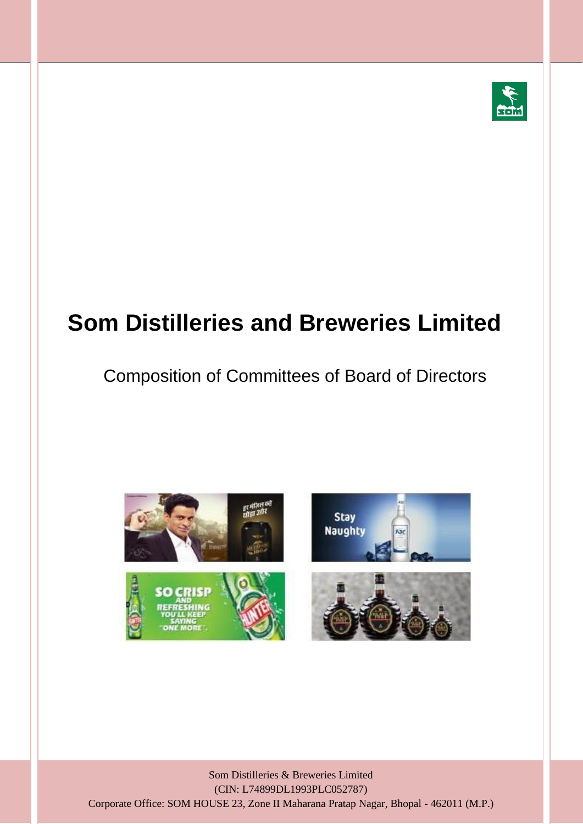

# **Som Distilleries and Breweries Limited**

### Composition of Committees of Board of Directors



Som Distilleries & Breweries Limited (CIN: L74899DL1993PLC052787) Corporate Office: SOM HOUSE 23, Zone II Maharana Pratap Nagar, Bhopal - 462011 (M.P.)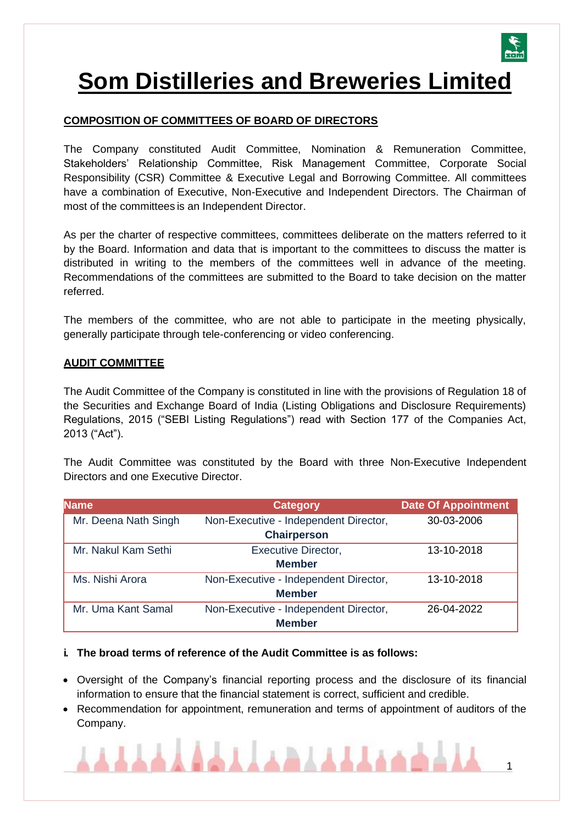

## **Som Distilleries and Breweries Limited**

#### **COMPOSITION OF COMMITTEES OF BOARD OF DIRECTORS**

The Company constituted Audit Committee, Nomination & Remuneration Committee, Stakeholders' Relationship Committee, Risk Management Committee, Corporate Social Responsibility (CSR) Committee & Executive Legal and Borrowing Committee. All committees have a combination of Executive, Non-Executive and Independent Directors. The Chairman of most of the committees is an Independent Director.

As per the charter of respective committees, committees deliberate on the matters referred to it by the Board. Information and data that is important to the committees to discuss the matter is distributed in writing to the members of the committees well in advance of the meeting. Recommendations of the committees are submitted to the Board to take decision on the matter referred.

The members of the committee, who are not able to participate in the meeting physically, generally participate through tele-conferencing or video conferencing.

#### **AUDIT COMMITTEE**

The Audit Committee of the Company is constituted in line with the provisions of Regulation 18 of the Securities and Exchange Board of India (Listing Obligations and Disclosure Requirements) Regulations, 2015 ("SEBI Listing Regulations") read with Section 177 of the Companies Act, 2013 ("Act").

The Audit Committee was constituted by the Board with three Non-Executive Independent Directors and one Executive Director.

| <b>Name</b>          | <b>Category</b>                       | <b>Date Of Appointment</b> |
|----------------------|---------------------------------------|----------------------------|
| Mr. Deena Nath Singh | Non-Executive - Independent Director, | 30-03-2006                 |
|                      | <b>Chairperson</b>                    |                            |
| Mr. Nakul Kam Sethi  | <b>Executive Director,</b>            | 13-10-2018                 |
|                      | <b>Member</b>                         |                            |
| Ms. Nishi Arora      | Non-Executive - Independent Director, | 13-10-2018                 |
| <b>Member</b>        |                                       |                            |
| Mr. Uma Kant Samal   | Non-Executive - Independent Director, | 26-04-2022                 |
|                      | <b>Member</b>                         |                            |

#### **i. The broad terms of reference of the Audit Committee is as follows:**

- Oversight of the Company's financial reporting process and the disclosure of its financial information to ensure that the financial statement is correct, sufficient and credible.
- Recommendation for appointment, remuneration and terms of appointment of auditors of the Company.

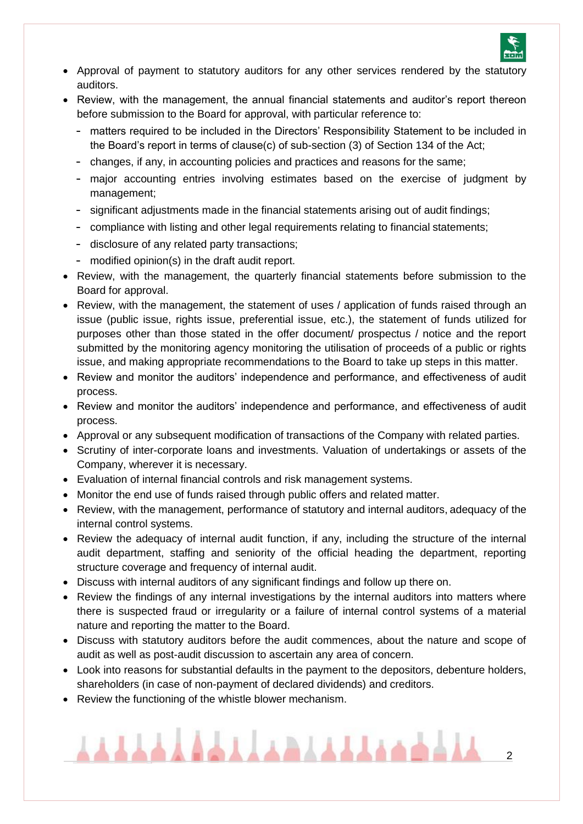

- Approval of payment to statutory auditors for any other services rendered by the statutory auditors.
- Review, with the management, the annual financial statements and auditor's report thereon before submission to the Board for approval, with particular reference to:
	- matters required to be included in the Directors' Responsibility Statement to be included in the Board's report in terms of clause(c) of sub-section (3) of Section 134 of the Act;
	- changes, if any, in accounting policies and practices and reasons for the same;
	- major accounting entries involving estimates based on the exercise of judgment by management;
	- significant adjustments made in the financial statements arising out of audit findings;
	- compliance with listing and other legal requirements relating to financial statements;
	- disclosure of any related party transactions;
	- modified opinion(s) in the draft audit report.
- Review, with the management, the quarterly financial statements before submission to the Board for approval.
- Review, with the management, the statement of uses / application of funds raised through an issue (public issue, rights issue, preferential issue, etc.), the statement of funds utilized for purposes other than those stated in the offer document/ prospectus / notice and the report submitted by the monitoring agency monitoring the utilisation of proceeds of a public or rights issue, and making appropriate recommendations to the Board to take up steps in this matter.
- Review and monitor the auditors' independence and performance, and effectiveness of audit process.
- Review and monitor the auditors' independence and performance, and effectiveness of audit process.
- Approval or any subsequent modification of transactions of the Company with related parties.
- Scrutiny of inter-corporate loans and investments. Valuation of undertakings or assets of the Company, wherever it is necessary.
- Evaluation of internal financial controls and risk management systems.
- Monitor the end use of funds raised through public offers and related matter.
- Review, with the management, performance of statutory and internal auditors, adequacy of the internal control systems.
- Review the adequacy of internal audit function, if any, including the structure of the internal audit department, staffing and seniority of the official heading the department, reporting structure coverage and frequency of internal audit.
- Discuss with internal auditors of any significant findings and follow up there on.
- Review the findings of any internal investigations by the internal auditors into matters where there is suspected fraud or irregularity or a failure of internal control systems of a material nature and reporting the matter to the Board.
- Discuss with statutory auditors before the audit commences, about the nature and scope of audit as well as post-audit discussion to ascertain any area of concern.
- Look into reasons for substantial defaults in the payment to the depositors, debenture holders, shareholders (in case of non-payment of declared dividends) and creditors.
- Review the functioning of the whistle blower mechanism.

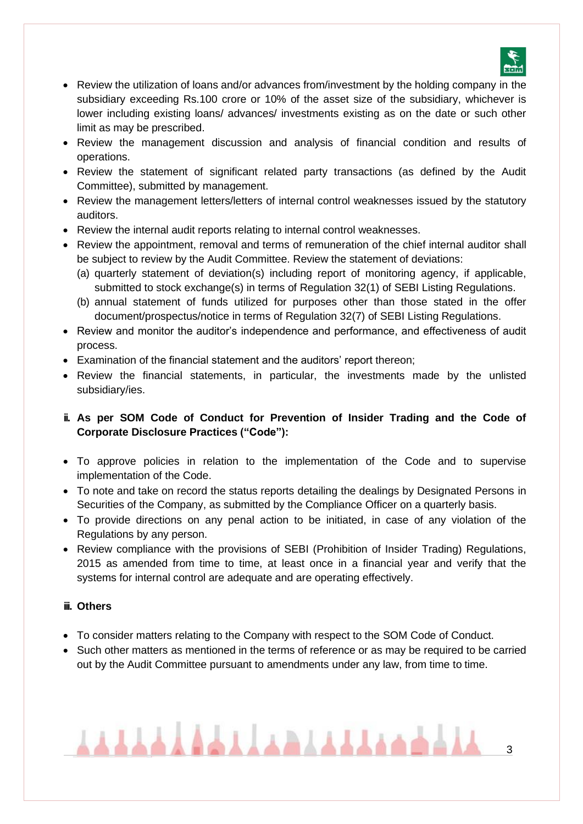

- Review the utilization of loans and/or advances from/investment by the holding company in the subsidiary exceeding Rs.100 crore or 10% of the asset size of the subsidiary, whichever is lower including existing loans/ advances/ investments existing as on the date or such other limit as may be prescribed.
- Review the management discussion and analysis of financial condition and results of operations.
- Review the statement of significant related party transactions (as defined by the Audit Committee), submitted by management.
- Review the management letters/letters of internal control weaknesses issued by the statutory auditors.
- Review the internal audit reports relating to internal control weaknesses.
- Review the appointment, removal and terms of remuneration of the chief internal auditor shall be subject to review by the Audit Committee. Review the statement of deviations:
	- (a) quarterly statement of deviation(s) including report of monitoring agency, if applicable, submitted to stock exchange(s) in terms of Regulation 32(1) of SEBI Listing Regulations.
	- (b) annual statement of funds utilized for purposes other than those stated in the offer document/prospectus/notice in terms of Regulation 32(7) of SEBI Listing Regulations.
- Review and monitor the auditor's independence and performance, and effectiveness of audit process.
- Examination of the financial statement and the auditors' report thereon;
- Review the financial statements, in particular, the investments made by the unlisted subsidiary/ies.
- **ii. As per SOM Code of Conduct for Prevention of Insider Trading and the Code of Corporate Disclosure Practices ("Code"):**
- To approve policies in relation to the implementation of the Code and to supervise implementation of the Code.
- To note and take on record the status reports detailing the dealings by Designated Persons in Securities of the Company, as submitted by the Compliance Officer on a quarterly basis.
- To provide directions on any penal action to be initiated, in case of any violation of the Regulations by any person.
- Review compliance with the provisions of SEBI (Prohibition of Insider Trading) Regulations, 2015 as amended from time to time, at least once in a financial year and verify that the systems for internal control are adequate and are operating effectively.

#### **iii. Others**

- To consider matters relating to the Company with respect to the SOM Code of Conduct.
- Such other matters as mentioned in the terms of reference or as may be required to be carried out by the Audit Committee pursuant to amendments under any law, from time to time.

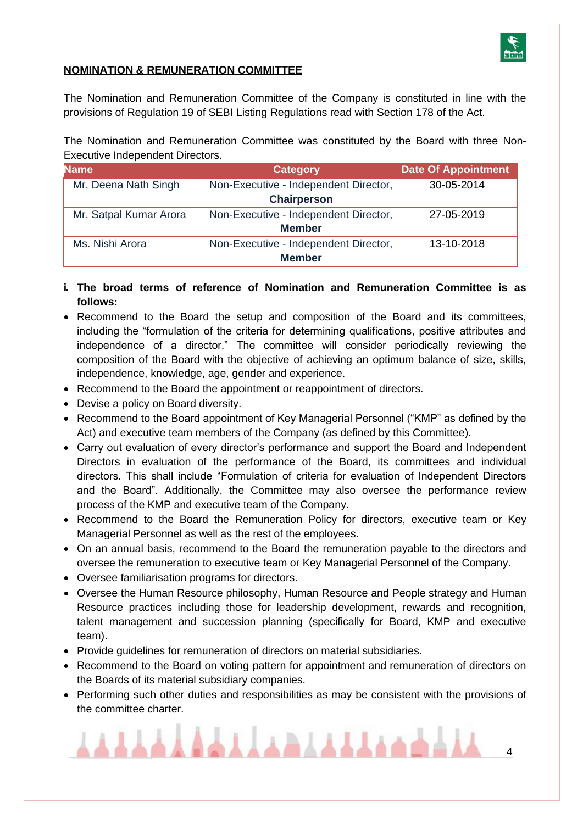

#### **NOMINATION & REMUNERATION COMMITTEE**

The Nomination and Remuneration Committee of the Company is constituted in line with the provisions of Regulation 19 of SEBI Listing Regulations read with Section 178 of the Act.

The Nomination and Remuneration Committee was constituted by the Board with three Non-Executive Independent Directors.

| <b>Name</b>            | <b>Category</b>                       | Date Of Appointment |
|------------------------|---------------------------------------|---------------------|
| Mr. Deena Nath Singh   | Non-Executive - Independent Director, | 30-05-2014          |
|                        | <b>Chairperson</b>                    |                     |
| Mr. Satpal Kumar Arora | Non-Executive - Independent Director, | 27-05-2019          |
| <b>Member</b>          |                                       |                     |
| Ms. Nishi Arora        | Non-Executive - Independent Director, | 13-10-2018          |
|                        | <b>Member</b>                         |                     |

- **i. The broad terms of reference of Nomination and Remuneration Committee is as follows:**
- Recommend to the Board the setup and composition of the Board and its committees, including the "formulation of the criteria for determining qualifications, positive attributes and independence of a director." The committee will consider periodically reviewing the composition of the Board with the objective of achieving an optimum balance of size, skills, independence, knowledge, age, gender and experience.
- Recommend to the Board the appointment or reappointment of directors.
- Devise a policy on Board diversity.
- Recommend to the Board appointment of Key Managerial Personnel ("KMP" as defined by the Act) and executive team members of the Company (as defined by this Committee).
- Carry out evaluation of every director's performance and support the Board and Independent Directors in evaluation of the performance of the Board, its committees and individual directors. This shall include "Formulation of criteria for evaluation of Independent Directors and the Board". Additionally, the Committee may also oversee the performance review process of the KMP and executive team of the Company.
- Recommend to the Board the Remuneration Policy for directors, executive team or Key Managerial Personnel as well as the rest of the employees.
- On an annual basis, recommend to the Board the remuneration payable to the directors and oversee the remuneration to executive team or Key Managerial Personnel of the Company.
- Oversee familiarisation programs for directors.
- Oversee the Human Resource philosophy, Human Resource and People strategy and Human Resource practices including those for leadership development, rewards and recognition, talent management and succession planning (specifically for Board, KMP and executive team).
- Provide guidelines for remuneration of directors on material subsidiaries.
- Recommend to the Board on voting pattern for appointment and remuneration of directors on the Boards of its material subsidiary companies.
- Performing such other duties and responsibilities as may be consistent with the provisions of the committee charter.

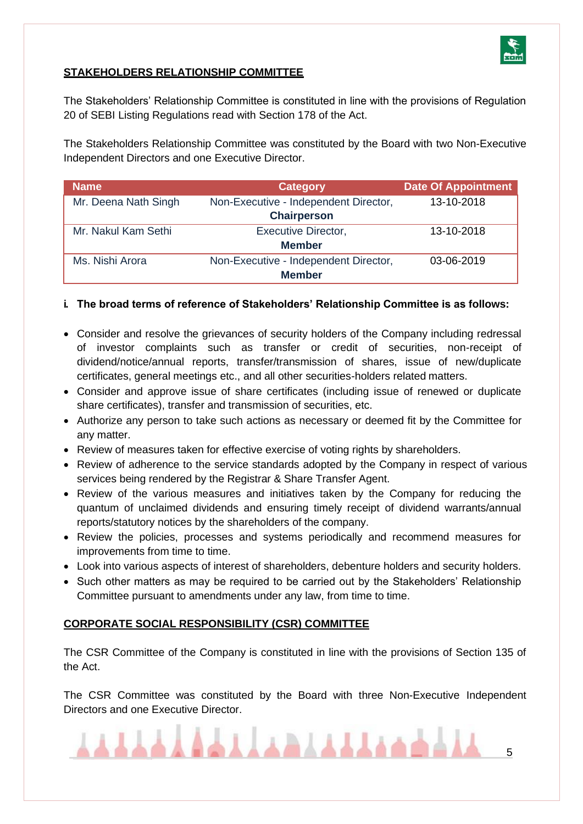

#### **STAKEHOLDERS RELATIONSHIP COMMITTEE**

The Stakeholders' Relationship Committee is constituted in line with the provisions of Regulation 20 of SEBI Listing Regulations read with Section 178 of the Act.

The Stakeholders Relationship Committee was constituted by the Board with two Non-Executive Independent Directors and one Executive Director.

| <b>Name</b>          | <b>Category</b>                       | <b>Date Of Appointment</b> |
|----------------------|---------------------------------------|----------------------------|
| Mr. Deena Nath Singh | Non-Executive - Independent Director, | 13-10-2018                 |
|                      | <b>Chairperson</b>                    |                            |
| Mr. Nakul Kam Sethi  | <b>Executive Director,</b>            | 13-10-2018                 |
|                      | <b>Member</b>                         |                            |
| Ms. Nishi Arora      | Non-Executive - Independent Director, | 03-06-2019                 |
|                      | <b>Member</b>                         |                            |

#### **i. The broad terms of reference of Stakeholders' Relationship Committee is as follows:**

- Consider and resolve the grievances of security holders of the Company including redressal of investor complaints such as transfer or credit of securities, non-receipt of dividend/notice/annual reports, transfer/transmission of shares, issue of new/duplicate certificates, general meetings etc., and all other securities-holders related matters.
- Consider and approve issue of share certificates (including issue of renewed or duplicate share certificates), transfer and transmission of securities, etc.
- Authorize any person to take such actions as necessary or deemed fit by the Committee for any matter.
- Review of measures taken for effective exercise of voting rights by shareholders.
- Review of adherence to the service standards adopted by the Company in respect of various services being rendered by the Registrar & Share Transfer Agent.
- Review of the various measures and initiatives taken by the Company for reducing the quantum of unclaimed dividends and ensuring timely receipt of dividend warrants/annual reports/statutory notices by the shareholders of the company.
- Review the policies, processes and systems periodically and recommend measures for improvements from time to time.
- Look into various aspects of interest of shareholders, debenture holders and security holders.
- Such other matters as may be required to be carried out by the Stakeholders' Relationship Committee pursuant to amendments under any law, from time to time.

#### **CORPORATE SOCIAL RESPONSIBILITY (CSR) COMMITTEE**

The CSR Committee of the Company is constituted in line with the provisions of Section 135 of the Act.

The CSR Committee was constituted by the Board with three Non-Executive Independent Directors and one Executive Director.

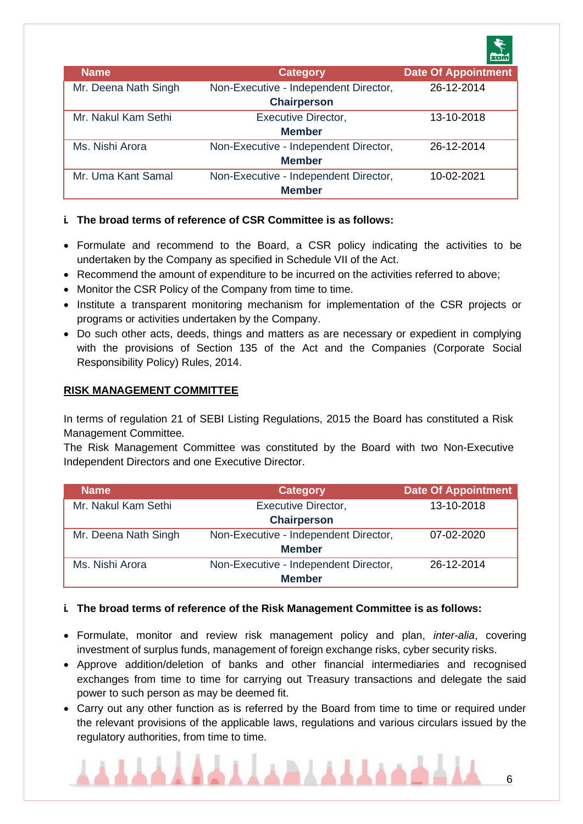|                      |                                                             | <b>SOM</b>                 |
|----------------------|-------------------------------------------------------------|----------------------------|
| Name                 | <b>Category</b>                                             | <b>Date Of Appointment</b> |
| Mr. Deena Nath Singh | Non-Executive - Independent Director,<br><b>Chairperson</b> | 26-12-2014                 |
| Mr. Nakul Kam Sethi  | <b>Executive Director,</b><br><b>Member</b>                 | 13-10-2018                 |
| Ms. Nishi Arora      | Non-Executive - Independent Director,<br><b>Member</b>      | 26-12-2014                 |
| Mr. Uma Kant Samal   | Non-Executive - Independent Director,<br><b>Member</b>      | 10-02-2021                 |

#### **i. The broad terms of reference of CSR Committee is as follows:**

- Formulate and recommend to the Board, a CSR policy indicating the activities to be undertaken by the Company as specified in Schedule VII of the Act.
- Recommend the amount of expenditure to be incurred on the activities referred to above;
- Monitor the CSR Policy of the Company from time to time.
- Institute a transparent monitoring mechanism for implementation of the CSR projects or programs or activities undertaken by the Company.
- Do such other acts, deeds, things and matters as are necessary or expedient in complying with the provisions of Section 135 of the Act and the Companies (Corporate Social Responsibility Policy) Rules, 2014.

#### **RISK MANAGEMENT COMMITTEE**

In terms of regulation 21 of SEBI Listing Regulations, 2015 the Board has constituted a Risk Management Committee.

The Risk Management Committee was constituted by the Board with two Non-Executive Independent Directors and one Executive Director.

| <b>Name</b>          | <b>Category</b>                       | <b>Date Of Appointment</b> |
|----------------------|---------------------------------------|----------------------------|
| Mr. Nakul Kam Sethi  | <b>Executive Director,</b>            | 13-10-2018                 |
|                      | <b>Chairperson</b>                    |                            |
| Mr. Deena Nath Singh | Non-Executive - Independent Director, | $07 - 02 - 2020$           |
| <b>Member</b>        |                                       |                            |
| Ms. Nishi Arora      | Non-Executive - Independent Director, | 26-12-2014                 |
|                      | <b>Member</b>                         |                            |

#### **i. The broad terms of reference of the Risk Management Committee is as follows:**

- Formulate, monitor and review risk management policy and plan, *inter-alia*, covering investment of surplus funds, management of foreign exchange risks, cyber security risks.
- Approve addition/deletion of banks and other financial intermediaries and recognised exchanges from time to time for carrying out Treasury transactions and delegate the said power to such person as may be deemed fit.
- Carry out any other function as is referred by the Board from time to time or required under the relevant provisions of the applicable laws, regulations and various circulars issued by the regulatory authorities, from time to time.

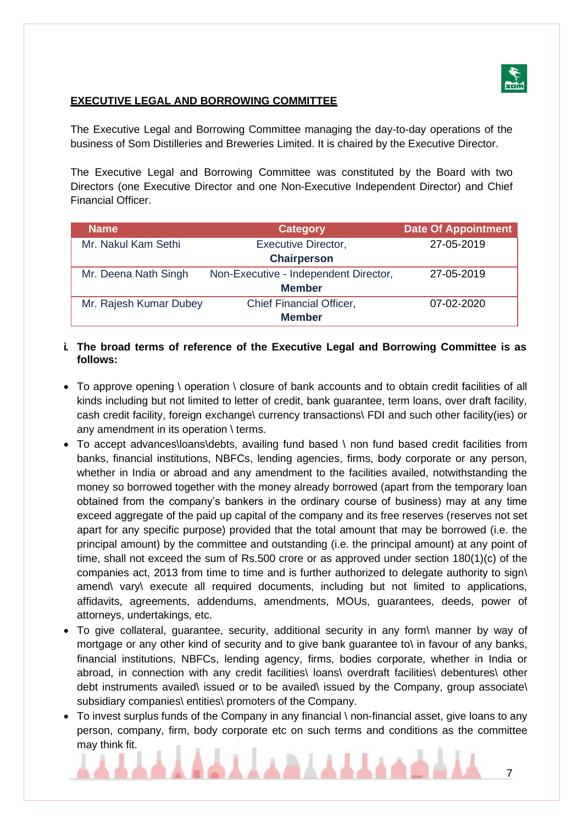

#### **EXECUTIVE LEGAL AND BORROWING COMMITTEE**

The Executive Legal and Borrowing Committee managing the day-to-day operations of the business of Som Distilleries and Breweries Limited. It is chaired by the Executive Director.

The Executive Legal and Borrowing Committee was constituted by the Board with two Directors (one Executive Director and one Non-Executive Independent Director) and Chief Financial Officer.

| <b>Name</b>            | <b>Category</b>                       | <b>Date Of Appointment</b> |
|------------------------|---------------------------------------|----------------------------|
| Mr. Nakul Kam Sethi    | <b>Executive Director,</b>            | 27-05-2019                 |
|                        | <b>Chairperson</b>                    |                            |
| Mr. Deena Nath Singh   | Non-Executive - Independent Director, | 27-05-2019                 |
| <b>Member</b>          |                                       |                            |
| Mr. Rajesh Kumar Dubey | <b>Chief Financial Officer,</b>       | $07-02-2020$               |
| <b>Member</b>          |                                       |                            |

#### **i. The broad terms of reference of the Executive Legal and Borrowing Committee is as follows:**

- To approve opening \ operation \ closure of bank accounts and to obtain credit facilities of all kinds including but not limited to letter of credit, bank guarantee, term loans, over draft facility, cash credit facility, foreign exchange\ currency transactions\ FDI and such other facility(ies) or any amendment in its operation \ terms.
- To accept advances\loans\debts, availing fund based \ non fund based credit facilities from banks, financial institutions, NBFCs, lending agencies, firms, body corporate or any person, whether in India or abroad and any amendment to the facilities availed, notwithstanding the money so borrowed together with the money already borrowed (apart from the temporary loan obtained from the company's bankers in the ordinary course of business) may at any time exceed aggregate of the paid up capital of the company and its free reserves (reserves not set apart for any specific purpose) provided that the total amount that may be borrowed (i.e. the principal amount) by the committee and outstanding (i.e. the principal amount) at any point of time, shall not exceed the sum of Rs.500 crore or as approved under section 180(1)(c) of the companies act, 2013 from time to time and is further authorized to delegate authority to sign\ amend\ vary\ execute all required documents, including but not limited to applications, affidavits, agreements, addendums, amendments, MOUs, guarantees, deeds, power of attorneys, undertakings, etc.
- To give collateral, guarantee, security, additional security in any form\ manner by way of mortgage or any other kind of security and to give bank guarantee to\ in favour of any banks, financial institutions, NBFCs, lending agency, firms, bodies corporate, whether in India or abroad, in connection with any credit facilities\ loans\ overdraft facilities\ debentures\ other debt instruments availed\ issued or to be availed\ issued by the Company, group associate\ subsidiary companies\ entities\ promoters of the Company.
- To invest surplus funds of the Company in any financial \ non-financial asset, give loans to any person, company, firm, body corporate etc on such terms and conditions as the committee may think fit.